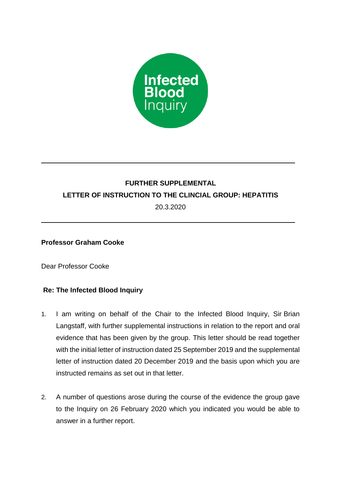

## **FURTHER SUPPLEMENTAL LETTER OF INSTRUCTION TO THE CLINCIAL GROUP: HEPATITIS**

20.3.2020

## **Professor Graham Cooke**

Dear Professor Cooke

## **Re: The Infected Blood Inquiry**

- 1. I am writing on behalf of the Chair to the Infected Blood Inquiry, Sir Brian Langstaff, with further supplemental instructions in relation to the report and oral evidence that has been given by the group. This letter should be read together with the initial letter of instruction dated 25 September 2019 and the supplemental letter of instruction dated 20 December 2019 and the basis upon which you are instructed remains as set out in that letter.
- 2. A number of questions arose during the course of the evidence the group gave to the Inquiry on 26 February 2020 which you indicated you would be able to answer in a further report.